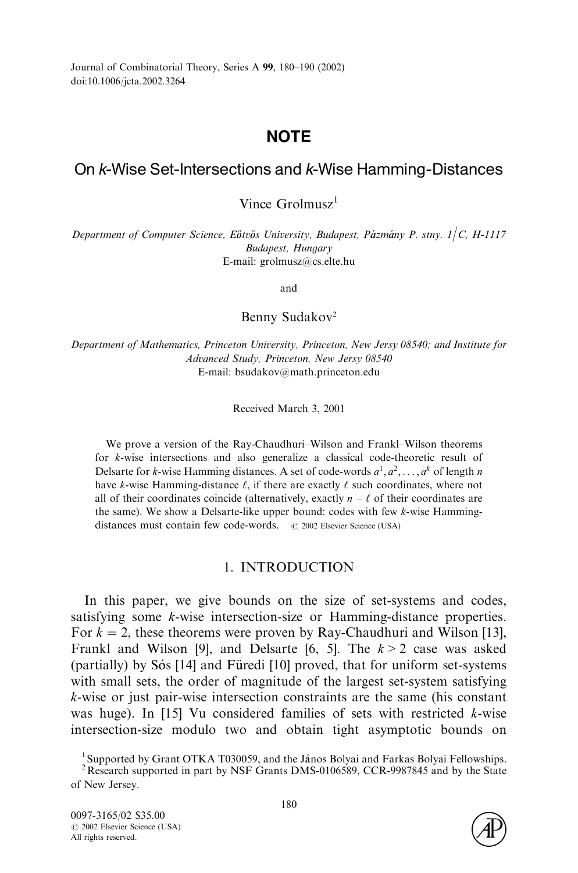Journal of Combinatorial Theory, Series A 99, 180–190 (2002) doi:10.1006/jcta.2002.3264

# **NOTE**

# On <sup>k</sup>-Wise Set-Intersections and <sup>k</sup>-Wise Hamming-Distances

Vince Grolmusz<sup>1</sup>

Department of Computer Science, Eötvös University, Budapest, Pázmány P. stny.  $1/C$ , H-1117 Budapest, Hungary E-mail: grolmusz@cs.elte.hu

and

### Benny Sudakov<sup>2</sup>

Department of Mathematics, Princeton University, Princeton, New Jersy 08540; and Institute for Advanced Study, Princeton, New Jersy 08540 E-mail: bsudakov@math.princeton.edu

Received March 3, 2001

We prove a version of the Ray-Chaudhuri–Wilson and Frankl–Wilson theorems for *k*-wise intersections and also generalize a classical code-theoretic result of Delsarte for *k*-wise Hamming distances. A set of code-words  $a^1, a^2, \ldots, a^k$  of length *n* have *k*-wise Hamming-distance  $\ell$ , if there are exactly  $\ell$  such coordinates, where not all of their coordinates coincide (alternatively, exactly  $n - \ell$  of their coordinates are the same).We show a Delsarte-like upper bound: codes with few *k*-wise Hammingdistances must contain few code-words. # 2002 Elsevier Science (USA)

# 1.INTRODUCTION

In this paper, we give bounds on the size of set-systems and codes, satisfying some *k*-wise intersection-size or Hamming-distance properties. For  $k = 2$ , these theorems were proven by Ray-Chaudhuri and Wilson [\[13\],](#page-10-0) Frankl and Wilson [\[9\],](#page-9-0) and Delsarte [\[6, 5\].](#page-9-0)The *k* > 2 case was asked (partially) by  $S\dot{\sigma}$  [\[14\]](#page-10-0) and Füredi [\[10\]](#page-10-0) proved, that for uniform set-systems with small sets, the order of magnitude of the largest set-system satisfying *k*-wise or just pair-wise intersection constraints are the same (his constant was huge).In [\[15\]](#page-10-0) Vu considered families of sets with restricted *k*-wise intersection-size modulo two and obtain tight asymptotic bounds on



<sup>&</sup>lt;sup>1</sup> Supported by Grant OTKA T030059, and the János Bolyai and Farkas Bolyai Fellowships.

 $2$ Research supported in part by NSF Grants DMS-0106589, CCR-9987845 and by the State of New Jersey.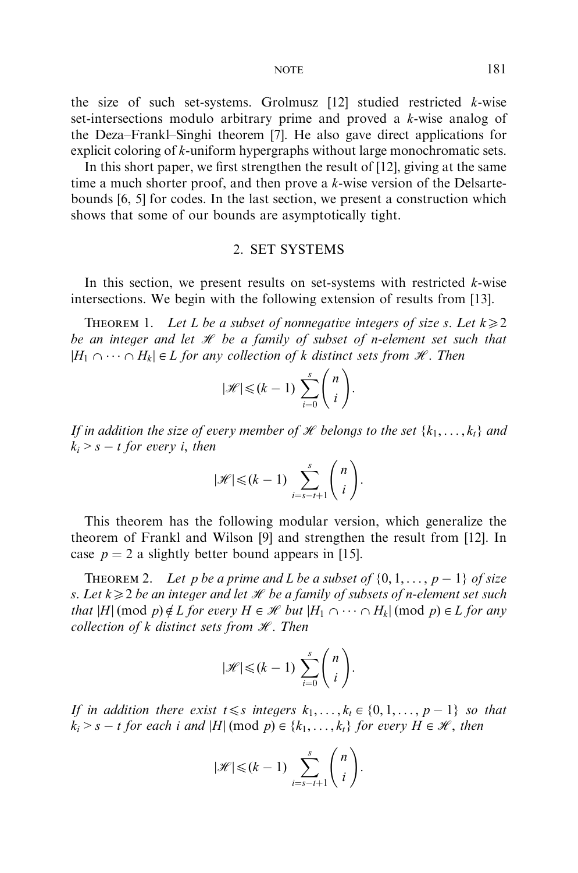the size of such set-systems. Grolmusz  $[12]$  studied restricted *k*-wise set-intersections modulo arbitrary prime and proved a *k*-wise analog of the Deza–Frankl–Singhi theorem [\[7\].](#page-9-0)He also gave direct applications for explicit coloring of *k*-uniform hypergraphs without large monochromatic sets.

In this short paper, we first strengthen the result of [\[12\],](#page-10-0) giving at the same time a much shorter proof, and then prove a *k*-wise version of the Delsartebounds [\[6, 5\]](#page-9-0) for codes.In the last section, we present a construction which shows that some of our bounds are asymptotically tight.

## 2.SET SYSTEMS

In this section, we present results on set-systems with restricted *k*-wise intersections.We begin with the following extension of results from [\[13\].](#page-10-0)

THEOREM 1. Let *L* be a subset of nonnegative integers of size *s*. Let  $k \ge 2$ be an integer and let  $\mathcal H$  be a family of subset of *n*-element set such that  $|H_1 \cap \cdots \cap H_k| \in L$  for any collection of *k* distinct sets from *H*. Then

$$
|\mathcal{H}| \leq (k-1) \sum_{i=0}^{s} \binom{n}{i}.
$$

If in addition the size of every member of  $\mathcal H$  belongs to the set  $\{k_1,\ldots,k_t\}$  and  $k_i > s - t$  for every *i*, then

$$
|\mathcal{H}| \leq (k-1) \sum_{i=s-t+1}^{s} \binom{n}{i}.
$$

This theorem has the following modular version, which generalize the theorem of Frankl and Wilson [\[9\]](#page-9-0) and strengthen the result from [\[12\]](#page-10-0).In case  $p = 2$  a slightly better bound appears in [\[15\]](#page-10-0).

THEOREM 2. Let *p* be a prime and *L* be a subset of  $\{0, 1, \ldots, p-1\}$  of size *s*. Let  $k \geq 2$  be an integer and let  $\mathcal H$  be a family of subsets of *n*-element set such that  $|H| \pmod{p} \notin L$  for every  $H \in \mathcal{H}$  but  $|H_1 \cap \cdots \cap H_k| \pmod{p} \in L$  for any collection of  $k$  distinct sets from  $\mathcal{H}$ . Then

$$
|\mathcal{H}| \leq (k-1) \sum_{i=0}^{s} \binom{n}{i}.
$$

If in addition there exist  $t \leq s$  integers  $k_1, \ldots, k_t \in \{0, 1, \ldots, p-1\}$  so that  $k_i > s - t$  for each *i* and  $|H| \pmod{p} \in \{k_1, \ldots, k_t\}$  for every  $H \in \mathcal{H}$ , then

$$
|\mathcal{H}| \leq (k-1) \sum_{i=s-t+1}^{s} \binom{n}{i}.
$$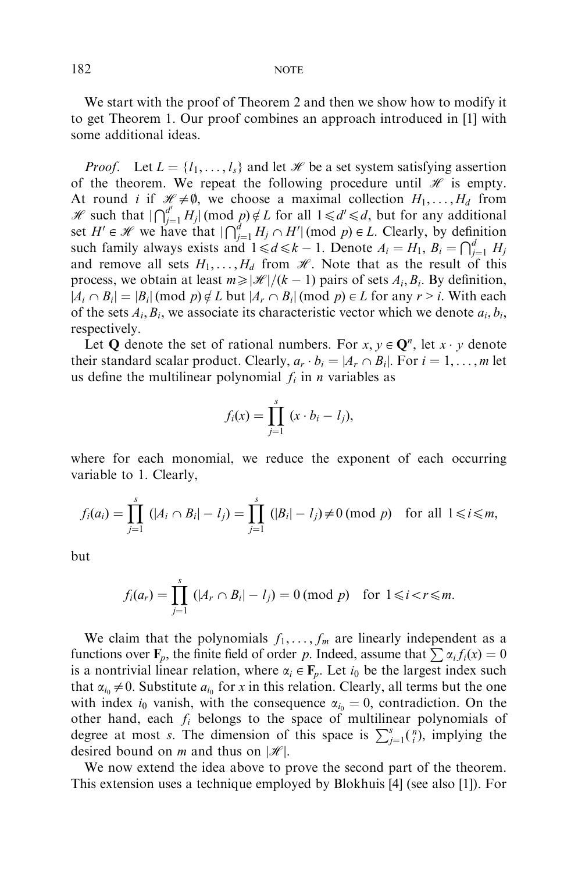We start with the proof of Theorem 2 and then we show how to modify it to get Theorem 1.Our proof combines an approach introduced in [\[1\]](#page-9-0) with some additional ideas.

*Proof.* Let  $L = \{l_1, \ldots, l_s\}$  and let  $\mathcal{H}$  be a set system satisfying assertion of the theorem. We repeat the following procedure until  $\mathcal H$  is empty. At round *i* if  $\mathcal{H} \neq \emptyset$ , we choose a maximal collection  $H_1, \ldots, H_d$  from He is that  $\int_{-\infty}^{d'} f(y, y, z) dy = \int_{-\infty}^{d'} f(y, z) dy$  such that  $\int_{-\infty}^{d'} f(y, z) dy = \int_{-\infty}^{d'} f(y, z) dy$  for all  $1 \leq d' \leq d$ , but for any additional set *H'*  $\in \mathcal{H}$  we have that  $\bigcap_{j=1}^{d} H_j \cap H' \text{ (mod } p) \in L$ . Clearly, by definition such family always exists and  $1 \le d \le k - 1$ . Denote  $A_i = H_1$ ,  $B_i = \bigcap_{j=1}^{d} H_j$ and remove all sets  $H_1, \ldots, H_d$  from  $\mathcal{H}$ . Note that as the result of this process, we obtain at least  $m \geq |\mathcal{H}|/(k-1)$  pairs of sets  $A_i, B_i$ . By definition,  $|A_i \cap B_i| = |B_i| \pmod{p} \notin L$  but  $|A_r \cap B_i| \pmod{p} \in L$  for any  $r > i$ . With each of the sets  $A_i$ ,  $B_i$ , we associate its characteristic vector which we denote  $a_i$ ,  $b_i$ , respectively.

Let **Q** denote the set of rational numbers. For  $x, y \in \mathbb{Q}^n$ , let  $x \cdot y$  denote their standard scalar product. Clearly,  $a_r \cdot b_i = |A_r \cap B_i|$ . For  $i = 1, \ldots, m$  let us define the multilinear polynomial  $f_i$  in *n* variables as

$$
f_i(x) = \prod_{j=1}^s (x \cdot b_i - l_j),
$$

where for each monomial, we reduce the exponent of each occurring variable to 1.Clearly,

$$
f_i(a_i) = \prod_{j=1}^s (|A_i \cap B_i| - l_j) = \prod_{j=1}^s (|B_i| - l_j) \neq 0 \pmod{p} \text{ for all } 1 \leq i \leq m,
$$

but

$$
f_i(a_r)=\prod_{j=1}^s (|A_r\cap B_i|-l_j)=0 \pmod{p} \text{ for } 1\leq i < r \leq m.
$$

We claim that the polynomials  $f_1, \ldots, f_m$  are linearly independent as a functions over  $\mathbf{F}_p$ , the finite field of order *p*. Indeed, assume that  $\sum \alpha_i f_i(x) = 0$ is a nontrivial linear relation, where  $\alpha_i \in \mathbf{F}_p$ . Let  $i_0$  be the largest index such that  $\alpha_{i_0} \neq 0$ . Substitute  $a_{i_0}$  for *x* in this relation. Clearly, all terms but the one with index  $i_0$  vanish, with the consequence  $\alpha_{i_0} = 0$ , contradiction. On the other hand, each *fi* belongs to the space of multilinear polynomials of degree at most *s*. The dimension of this space is  $\sum_{j=1}^{s} {n \choose j}$ , implying the desired bound on *m* and thus on  $|\mathcal{H}|$ .

We now extend the idea above to prove the second part of the theorem. This extension uses a technique employed by Blokhuis [\[4\]](#page-9-0) (see also [\[1\]\)](#page-9-0). For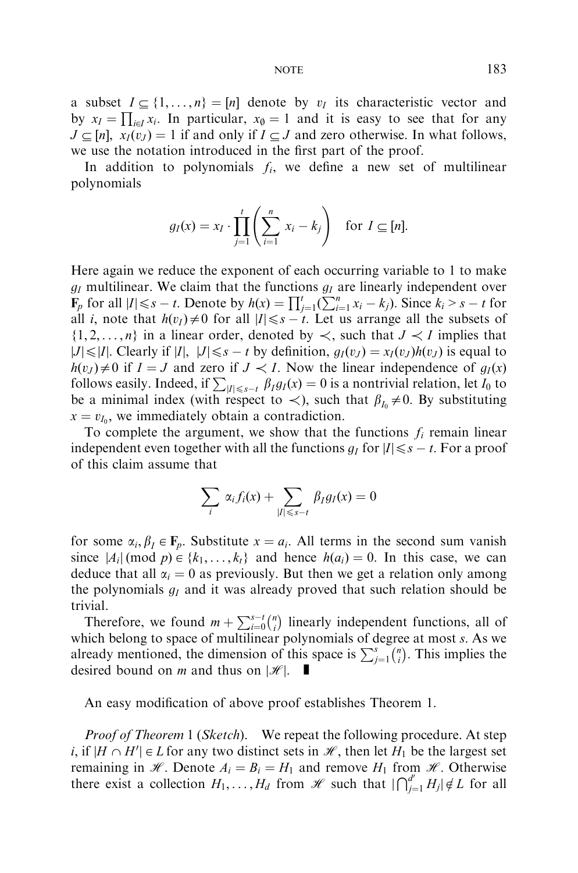a subset  $I \subset \{1, ..., n\} = [n]$  denote by  $v_I$  its characteristic vector and by  $x_I = \prod_{i \in I} x_i$ . In particular,  $x_\emptyset = 1$  and it is easy to see that for any  $J \subset [n]$ ,  $x_I(v_J) = 1$  if and only if  $I \subset J$  and zero otherwise. In what follows, we use the notation introduced in the first part of the proof.

In addition to polynomials  $f_i$ , we define a new set of multilinear polynomials

$$
g_I(x) = x_I \cdot \prod_{j=1}^t \left( \sum_{i=1}^n x_i - k_j \right) \text{ for } I \subseteq [n].
$$

Here again we reduce the exponent of each occurring variable to 1 to make  $g_I$  multilinear. We claim that the functions  $g_I$  are linearly independent over  $\mathbf{F}_p$  for all  $|I| \leq s - t$ . Denote by  $h(x) = \prod_{j=1}^t (\sum_{i=1}^n x_i - k_j)$ . Since  $k_i > s - t$  for all *i*, note that  $h(v_i) \neq 0$  for all  $|I| \leq s - t$ . Let us arrange all the subsets of  $\{1, 2, \ldots, n\}$  in a linear order, denoted by  $\prec$ , such that  $J \prec I$  implies that  $|J| \le |I|$ . Clearly if  $|I|$ ,  $|J| \le s - t$  by definition,  $g_I(v_J) = x_I(v_J)h(v_J)$  is equal to  $h(v_J) \neq 0$  if  $I = J$  and zero if  $J \prec I$ . Now the linear independence of  $g_I(x)$ follows easily. Indeed, if  $\sum_{|I| \le s-t} \beta_I g_I(x) = 0$  is a nontrivial relation, let *I*<sub>0</sub> to be a minimal index (with respect to  $\lt$ ), such that  $\beta_{I_0}\neq 0$ . By substituting  $x = v_{I_0}$ , we immediately obtain a contradiction.

To complete the argument, we show that the functions  $f_i$  remain linear independent even together with all the functions  $g_I$  for  $|I| \leq s - t$ . For a proof of this claim assume that

$$
\sum_{i} \alpha_{i} f_{i}(x) + \sum_{|I| \leq s-t} \beta_{I} g_{I}(x) = 0
$$

for some  $\alpha_i, \beta_i \in \mathbf{F}_p$ . Substitute  $x = a_i$ . All terms in the second sum vanish since  $|A_i| \pmod{p} \in \{k_1, \ldots, k_t\}$  and hence  $h(a_i) = 0$ . In this case, we can deduce that all  $\alpha_i = 0$  as previously. But then we get a relation only among the polynomials *gI* and it was already proved that such relation should be trivial.

Therefore, we found  $m + \sum_{i=0}^{s-t} {n \choose i}$  linearly independent functions, all of which belong to space of multilinear polynomials of degree at most *s*: As we which belong to space of mainlimear polynomials of digited at most s. As we already mentioned, the dimension of this space is  $\sum_{j=1}^{s} {n \choose i}$ . This implies the desired bound on *m* and thus on  $|\mathcal{H}|$ .

An easy modification of above proof establishes Theorem 1.

*Proof of Theorem* 1 (*Sketch*). We repeat the following procedure. At step *i*, if  $|H \cap H'| \in L$  for any two distinct sets in  $\mathcal{H}$ , then let  $H_1$  be the largest set remaining in  $\mathcal{H}$ . Denote  $A_i = B_i = H_1$  and remove  $H_1$  from  $\mathcal{H}$ . Otherwise there exist a collection  $H_1, \ldots, H_d$  from  $\mathcal H$  such that  $\left| \bigcap_{j=1}^{d'} H_j \right| \notin L$  for all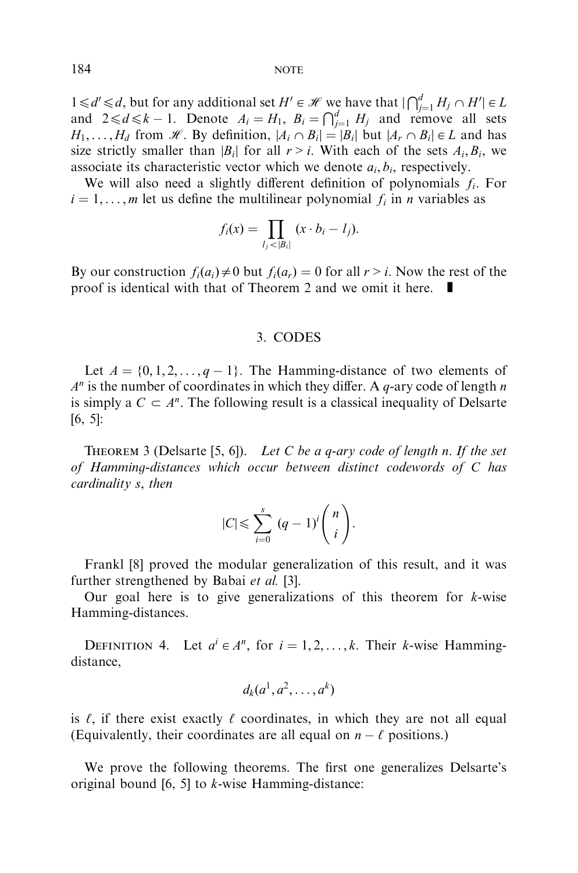$1 \le d' \le d$ , but for any additional set  $H' \in \mathcal{H}$  we have that  $|\bigcap_{j=1}^d H_j \cap H' | \in L$ and  $2 \le d \le k - 1$ . Denote  $A_i = H_1$ ,  $B_i = \bigcap_{j=1}^d H_j$  and remove all sets  $H_1, \ldots, H_d$  from H. By definition,  $|A_i \cap B_i| = |B_i|$  but  $|A_i \cap B_i| \in L$  and has size strictly smaller than  $|B_i|$  for all  $r > i$ . With each of the sets  $A_i, B_i$ , we associate its characteristic vector which we denote  $a_i, b_i$ , respectively.

We will also need a slightly different definition of polynomials *fi*: For  $i = 1, \ldots, m$  let us define the multilinear polynomial  $f_i$  in *n* variables as

$$
f_i(x) = \prod_{l_j < |B_i|} (x \cdot b_i - l_j).
$$

By our construction  $f_i(a_i) \neq 0$  but  $f_i(a_r) = 0$  for all  $r > i$ . Now the rest of the proof is identical with that of Theorem 2 and we omit it here.  $\blacksquare$ 

#### 3.CODES

Let  $A = \{0, 1, 2, \ldots, q - 1\}$ . The Hamming-distance of two elements of  $A<sup>n</sup>$  is the number of coordinates in which they differ. A *q*-ary code of length *n* is simply a  $C \subset A^n$ . The following result is a classical inequality of Delsarte [\[6, 5\]:](#page-9-0)

Theorem 3 (Delsarte [\[5, 6\]\)](#page-9-0). Let *C* be a *q*-ary code of length *n*: If the set of Hamming-distances which occur between distinct codewords of *C* has cardinality *s*; then

$$
|C| \leqslant \sum_{i=0}^{s} (q-1)^i \binom{n}{i}.
$$

Frankl [\[8\]](#page-9-0) proved the modular generalization of this result, and it was further strengthened by Babai *et al.* [\[3\].](#page-9-0)

Our goal here is to give generalizations of this theorem for *k*-wise Hamming-distances.

DEFINITION 4. Let  $a^i \in A^n$ , for  $i = 1, 2, ..., k$ . Their *k*-wise Hammingdistance,

$$
d_k(a^1, a^2, \ldots, a^k)
$$

is  $\ell$ , if there exist exactly  $\ell$  coordinates, in which they are not all equal (Equivalently, their coordinates are all equal on  $n - \ell$  positions.)

We prove the following theorems. The first one generalizes Delsarte's original bound [\[6, 5\]](#page-9-0) to *k*-wise Hamming-distance: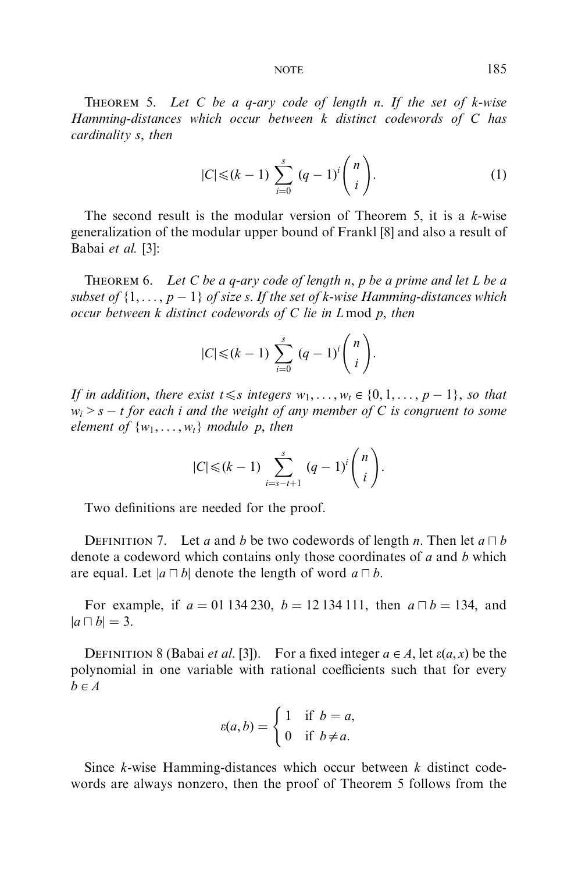Theorem 5. Let *C* be a *q*-ary code of length *n*: If the set of *k*-wise Hamming-distances which occur between *k* distinct codewords of *C* has cardinality *s*; then

$$
|C| \le (k-1) \sum_{i=0}^{s} (q-1)^{i} {n \choose i}.
$$
 (1)

The second result is the modular version of Theorem 5, it is a *k*-wise generalization of the modular upper bound of Frankl [\[8](#page-9-0)] and also a result of Babai et al. [\[3\]:](#page-9-0)

Theorem 6. Let *C* be a *q*-ary code of length *n*; *p* be a prime and let *L* be a subset of  $\{1, \ldots, p-1\}$  of size *s*. If the set of *k*-wise Hamming-distances which occur between *k* distinct codewords of *C* lie in *L* mod *p*; then

$$
|C| \leq (k-1) \sum_{i=0}^{s} (q-1)^i {n \choose i}.
$$

If in addition, there exist  $t \leq s$  integers  $w_1, \ldots, w_t \in \{0, 1, \ldots, p-1\}$ , so that  $w_i > s - t$  for each *i* and the weight of any member of *C* is congruent to some element of  $\{w_1, \ldots, w_t\}$  modulo *p*, then

$$
|C| \leq (k-1) \sum_{i=s-t+1}^{s} (q-1)^i {n \choose i}.
$$

Two definitions are needed for the proof.

DEFINITION 7. Let *a* and *b* be two codewords of length *n*. Then let  $a \Box b$ denote a codeword which contains only those coordinates of *a* and *b* which are equal. Let  $|a \cap b|$  denote the length of word  $a \cap b$ .

For example, if  $a = 01 134 230$ ,  $b = 12 134 111$ , then  $a \Box b = 134$ , and  $|a \sqcap b| = 3.$ 

DEFINITION 8 (Babai *et al.* [\[3\]\)](#page-9-0). For a fixed integer  $a \in A$ , let  $\varepsilon(a, x)$  be the polynomial in one variable with rational coefficients such that for every  $b \in A$ 

$$
\varepsilon(a,b) = \begin{cases} 1 & \text{if } b = a, \\ 0 & \text{if } b \neq a. \end{cases}
$$

Since *k*-wise Hamming-distances which occur between *k* distinct codewords are always nonzero, then the proof of Theorem 5 follows from the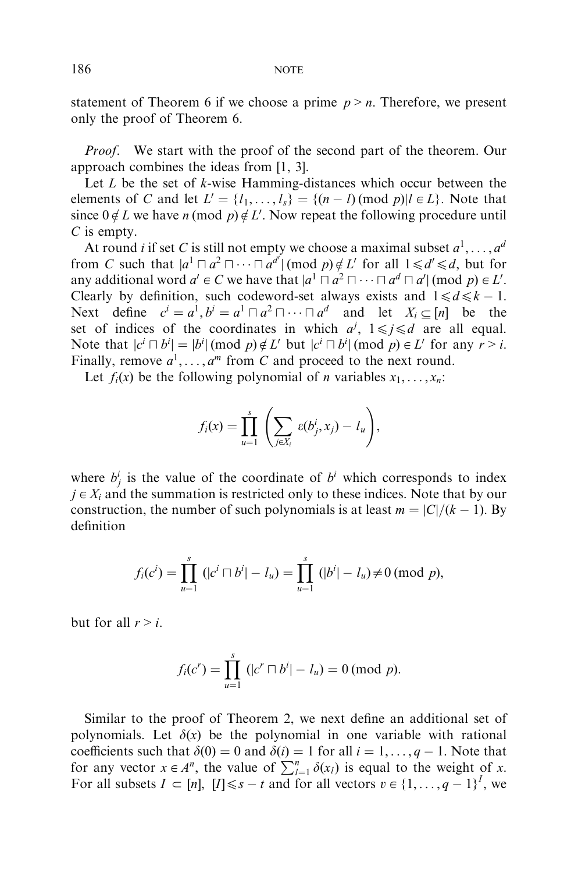statement of Theorem 6 if we choose a prime  $p > n$ . Therefore, we present only the proof of Theorem 6.

Proof. We start with the proof of the second part of the theorem. Our approach combines the ideas from [\[1, 3\].](#page-9-0)

Let *L* be the set of *k*-wise Hamming-distances which occur between the elements of *C* and let  $L' = \{l_1, \ldots, l_s\} = \{(n-l) \text{ (mod } p) | l \in L\}$ . Note that since  $0 \notin L$  we have *n* (mod *p*)  $\notin L'$ . Now repeat the following procedure until *C* is empty.

At round *i* if set *C* is still not empty we choose a maximal subset  $a^1, \ldots, a^d$ from *C* such that  $|a^1 \Box a^2 \Box \cdots \Box a^{d'}| \pmod{p} \notin L'$  for all  $1 \le d' \le d$ , but for any additional word  $a' \in C$  we have that  $|a^1 \cap a^2 \cap \cdots \cap a^d \cap a'|$  (mod  $p) \in L'$ . Clearly by definition, such codeword-set always exists and  $1 \le d \le k - 1$ . Next define  $c^i = a^1, b^i = a^1 \sqcap a^2 \sqcap \cdots \sqcap a^d$  and let  $X_i \subset [n]$  be the set of indices of the coordinates in which  $a^j$ ,  $1 \le j \le d$  are all equal. Note that  $|c^i \cap b^i| = |b^i| \pmod{p} \notin L'$  but  $|c^i \cap b^i| \pmod{p} \in L'$  for any  $r > i$ . Finally, remove  $a^1, \ldots, a^m$  from *C* and proceed to the next round.

Let  $f_i(x)$  be the following polynomial of *n* variables  $x_1, \ldots, x_n$ :

$$
f_i(x) = \prod_{u=1}^s \left( \sum_{j \in X_i} \varepsilon(b_j^i, x_j) - l_u \right),
$$

where  $b_j^i$  is the value of the coordinate of  $b^i$  which corresponds to index  $j \in X_i$  and the summation is restricted only to these indices. Note that by our construction, the number of such polynomials is at least  $m = |C|/(k - 1)$ . By definition

$$
f_i(c^i) = \prod_{u=1}^s (|c^i \sqcap b^i| - l_u) = \prod_{u=1}^s (|b^i| - l_u) \neq 0 \pmod{p},
$$

but for all  $r > i$ .

$$
f_i(c^r) = \prod_{u=1}^s (|c^r \sqcap b^i| - l_u) = 0 \pmod{p}.
$$

Similar to the proof of Theorem 2, we next define an additional set of polynomials. Let  $\delta(x)$  be the polynomial in one variable with rational coefficients such that  $\delta(0) = 0$  and  $\delta(i) = 1$  for all  $i = 1, \ldots, q - 1$ . Note that for any vector  $x \in A^n$ , the value of  $\sum_{l=1}^n \delta(x_l)$  is equal to the weight of *x*. For all subsets  $I \subset [n]$ ,  $[I] \le s - t$  and for all vectors  $v \in \{1, \ldots, q - 1\}^I$ , we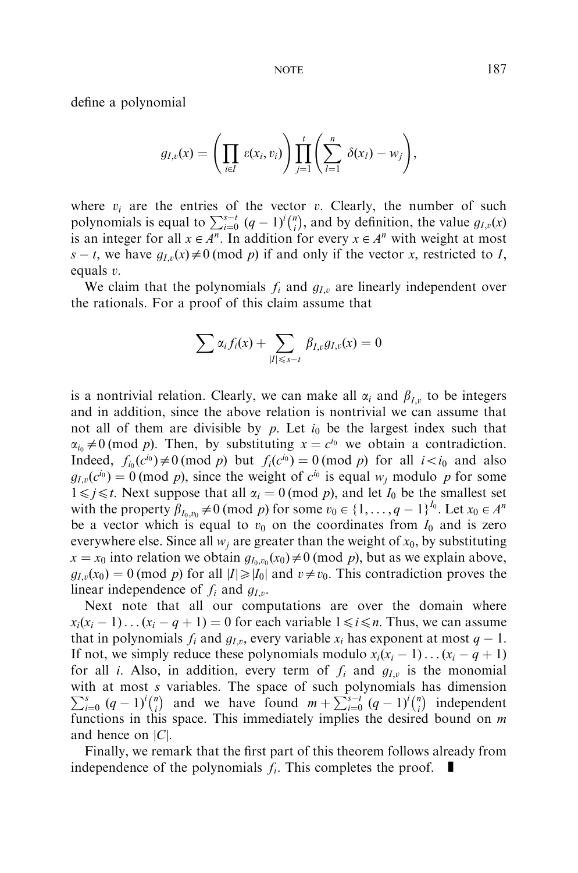define a polynomial

$$
g_{I,v}(x) = \left(\prod_{i \in I} \varepsilon(x_i, v_i)\right) \prod_{j=1}^t \left(\sum_{l=1}^n \delta(x_l) - w_j\right),
$$

where  $v_i$  are the entries of the vector  $v_i$ . Clearly, the number of such polynomials is equal to  $\sum_{i=0}^{s-t} (q-1)^i {n \choose i}$ , and by definition, the value  $g_{I,v}(x)$ is an integer for all  $x \in A^n$ . In addition for every  $x \in A^n$  with weight at most  $s - t$ , we have  $g_{I,v}(x) \neq 0 \pmod{p}$  if and only if the vector *x*, restricted to *I*, equals *v*:

We claim that the polynomials  $f_i$  and  $g_{I,\nu}$  are linearly independent over the rationals.For a proof of this claim assume that

$$
\sum \alpha_i f_i(x) + \sum_{|I| \leq s-t} \beta_{I,v} g_{I,v}(x) = 0
$$

is a nontrivial relation. Clearly, we can make all  $\alpha_i$  and  $\beta_i$ , to be integers and in addition, since the above relation is nontrivial we can assume that not all of them are divisible by *p*. Let  $i_0$  be the largest index such that  $\alpha_{i_0} \neq 0$  (mod *p*). Then, by substituting  $x = c^{i_0}$  we obtain a contradiction. Indeed,  $f_{i_0}(c^{i_0}) \neq 0 \pmod{p}$  but  $f_i(c^{i_0}) = 0 \pmod{p}$  for all  $i \lt i_0$  and also  $g_{I,\nu}(c^{i_0}) = 0 \pmod{p}$ , since the weight of  $c^{i_0}$  is equal  $w_i$  modulo p for some  $1 \leq j \leq t$ . Next suppose that all  $\alpha_i = 0 \pmod{p}$ , and let  $I_0$  be the smallest set with the property  $\beta_{I_0,v_0}\neq 0$  (mod *p*) for some  $v_0 \in \{1,\ldots,q-1\}^{I_0}$ . Let  $x_0 \in A^n$ be a vector which is equal to  $v_0$  on the coordinates from  $I_0$  and is zero everywhere else. Since all  $w_i$  are greater than the weight of  $x_0$ , by substituting  $x = x_0$  into relation we obtain  $g_{I_0, v_0}(x_0) \neq 0 \pmod{p}$ , but as we explain above,  $g_{I,v}(x_0) = 0 \pmod{p}$  for all  $|I| \geq |I_0|$  and  $v \neq v_0$ . This contradiction proves the linear independence of  $f_i$  and  $g_{I,\nu}$ .

Next note that all our computations are over the domain where  $x_i(x_i - 1) \dots (x_i - q + 1) = 0$  for each variable  $1 \le i \le n$ . Thus, we can assume that in polynomials  $f_i$  and  $g_{I,\nu}$ , every variable  $x_i$  has exponent at most  $q-1$ . If not, we simply reduce these polynomials modulo  $x_i(x_i - 1) \dots (x_i - q + 1)$ for all *i*. Also, in addition, every term of  $f_i$  and  $g_{I,\nu}$  is the monomial with at most *s* variables. The space of such polynomials has dimension  $\sum_{s=1}^{s} (g-1)^{i/n}$  and we have found  $m + \sum_{s=1}^{s} (g-1)^{i/n}$  independent  $\sum_{i=0}^{s} (q-1)^{i} {n \choose i}$  and we have found  $m + \sum_{i=0}^{s-t} (q-1)^{i} {n \choose i}$  independent functions in this space.This immediately implies the desired bound on *m* and hence on j*C*j:

Finally, we remark that the first part of this theorem follows already from independence of the polynomials  $f_i$ . This completes the proof.  $\blacksquare$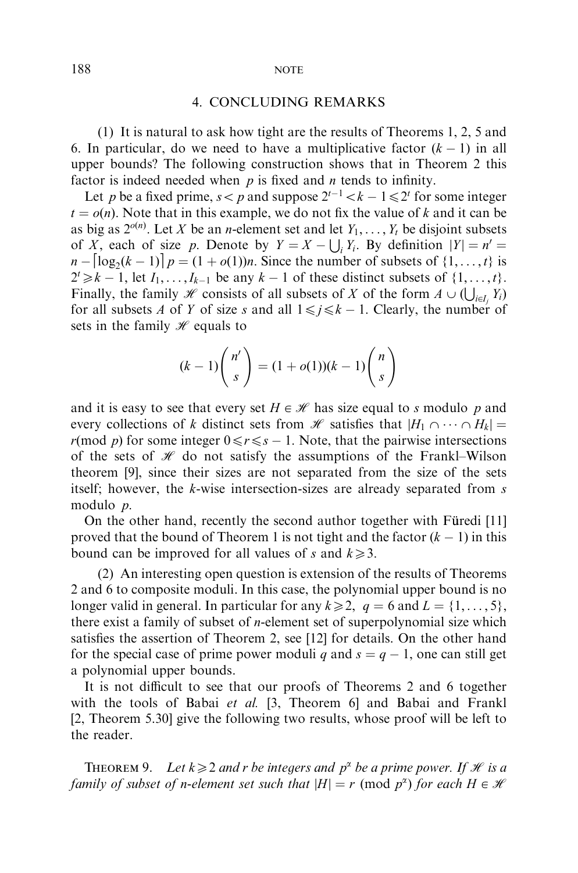# 4.CONCLUDING REMARKS

(1) It is natural to ask how tight are the results of Theorems 1, 2, 5 and 6. In particular, do we need to have a multiplicative factor  $(k - 1)$  in all upper bounds? The following construction shows that in Theorem 2 this factor is indeed needed when *p* is fixed and *n* tends to infinity.

Let *p* be a fixed prime,  $s < p$  and suppose  $2^{t-1} < k - 1 \le 2^t$  for some integer  $t = o(n)$ . Note that in this example, we do not fix the value of *k* and it can be as big as  $2^{o(n)}$ . Let *X* be an *n*-element set and let  $Y_1, \ldots, Y_t$  be disjoint subsets of *X*; each of size *p*. Denote by  $Y = X - \bigcup_i Y_i$ . By definition  $|Y| = n' =$  $n - \left[\log_2(k-1)\right]p = (1+o(1))n$ . Since the number of subsets of  $\{1, \ldots, t\}$  is  $2^t \ge k - 1$ , let  $I_1, \ldots, I_{k-1}$  be any  $k - 1$  of these distinct subsets of  $\{1, \ldots, t\}$ . Finally, the family *H* consists of all subsets of *X* of the form  $A \cup (\bigcup_{i \in I_j} Y_i)$ for all subsets *A* of *Y* of size *s* and all  $1 \leq j \leq k - 1$ . Clearly, the number of sets in the family  $\mathcal H$  equals to

$$
(k-1)\binom{n'}{s} = (1+o(1))(k-1)\binom{n}{s}
$$

and it is easy to see that every set  $H \in \mathcal{H}$  has size equal to *s* modulo *p* and every collections of *k* distinct sets from *H* satisfies that  $|H_1 \cap \cdots \cap H_k|$  = *r*(mod *p*) for some integer  $0 \le r \le s - 1$ . Note, that the pairwise intersections of the sets of  $\mathcal H$  do not satisfy the assumptions of the Frankl–Wilson theorem [\[9\],](#page-9-0) since their sizes are not separated from the size of the sets itself; however, the *k*-wise intersection-sizes are already separated from *s* modulo *p*:

On the other hand, recently the second author together with Füredi [\[11\]](#page-10-0). proved that the bound of Theorem 1 is not tight and the factor  $(k - 1)$  in this bound can be improved for all values of *s* and  $k \ge 3$ .

(2) An interesting open question is extension of the results of Theorems 2 and 6 to composite moduli.In this case, the polynomial upper bound is no longer valid in general. In particular for any  $k \geqslant 2$ ,  $q = 6$  and  $L = \{1, \ldots, 5\}$ , there exist a family of subset of *n*-element set of superpolynomial size which satisfies the assertion of Theorem 2, see [\[12\]](#page-10-0) for details. On the other hand for the special case of prime power moduli *q* and  $s = q - 1$ , one can still get a polynomial upper bounds.

It is not difficult to see that our proofs of Theorems 2 and 6 together with the tools of Babai et al. [\[3,](#page-9-0) Theorem 6] and Babai and Frankl [\[2,](#page-9-0) Theorem 5.30] give the following two results, whose proof will be left to the reader.

THEOREM 9. Let  $k \geq 2$  and *r* be integers and  $p^{\alpha}$  be a prime power. If *H* is a family of subset of *n*-element set such that  $|H| = r \pmod{p^{\alpha}}$  for each  $H \in \mathcal{H}$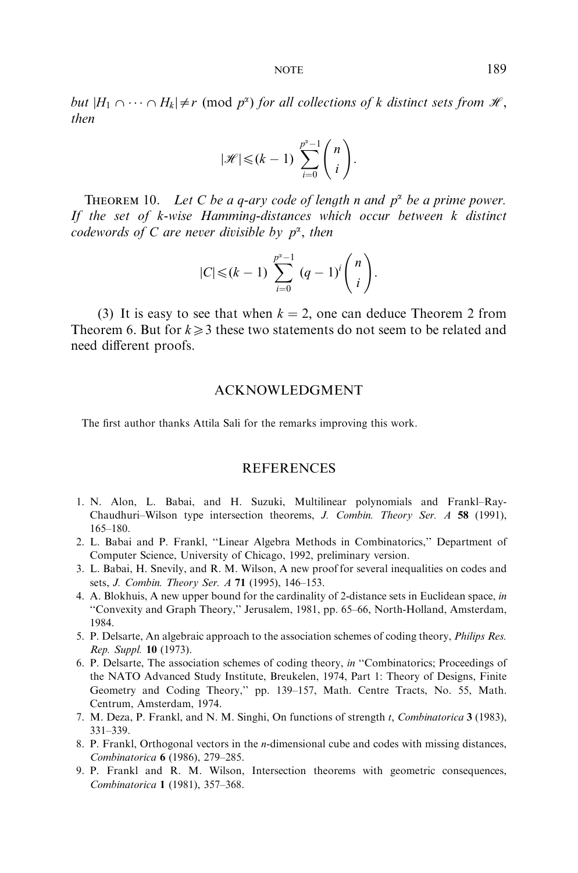<span id="page-9-0"></span>but  $|H_1 \cap \cdots \cap H_k| \neq r \pmod{p^{\alpha}}$  for all collections of *k* distinct sets from  $\mathcal{H}$ , then

$$
|\mathcal{H}| \leq (k-1) \sum_{i=0}^{p^{\alpha}-1} \binom{n}{i}.
$$

THEOREM 10. Let C be a *q*-ary code of length *n* and  $p^{\alpha}$  be a prime power. If the set of *k*-wise Hamming-distances which occur between *k* distinct codewords of C are never divisible by  $p^{\alpha}$ , then

$$
|C| \leq (k-1) \sum_{i=0}^{p^{i}-1} (q-1)^{i} {n \choose i}.
$$

(3) It is easy to see that when  $k = 2$ , one can deduce Theorem 2 from Theorem 6. But for  $k \geq 3$  these two statements do not seem to be related and need different proofs.

#### ACKNOWLEDGMENT

The first author thanks Attila Sali for the remarks improving this work.

#### **REFERENCES**

- 1.N. Alon, L. Babai, and H. Suzuki, Multilinear polynomials and Frankl–Ray-Chaudhuri–Wilson type intersection theorems, J. Combin. Theory Ser. A 58 (1991), 165–180.
- 2.L.Babai and P.Frankl, ''Linear Algebra Methods in Combinatorics,'' Department of Computer Science, University of Chicago, 1992, preliminary version.
- 3.L.Babai, H.Snevily, and R.M.Wilson, A new proof for several inequalities on codes and sets, J. Combin. Theory Ser. A 71 (1995), 146–153.
- 4.A.Blokhuis, A new upper bound for the cardinality of 2-distance sets in Euclidean space, in ''Convexity and Graph Theory,'' Jerusalem, 1981, pp.65–66, North-Holland, Amsterdam, 1984.
- 5. P. Delsarte, An algebraic approach to the association schemes of coding theory, *Philips Res.* Rep. Suppl. 10 (1973).
- 6.P.Delsarte, The association schemes of coding theory, in ''Combinatorics; Proceedings of the NATO Advanced Study Institute, Breukelen, 1974, Part 1: Theory of Designs, Finite Geometry and Coding Theory," pp. 139-157, Math. Centre Tracts, No. 55, Math. Centrum, Amsterdam, 1974.
- 7. M.Deza, P.Frankl, and N.M.Singhi, On functions of strength *t*; Combinatorica 3 (1983), 331–339.
- 8.P.Frankl, Orthogonal vectors in the *n*-dimensional cube and codes with missing distances, Combinatorica 6 (1986), 279–285.
- 9.P. Frankl and R. M. Wilson, Intersection theorems with geometric consequences, Combinatorica 1 (1981), 357–368.